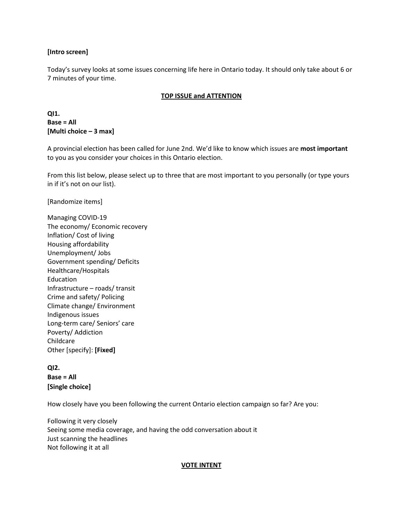### **[Intro screen]**

Today's survey looks at some issues concerning life here in Ontario today. It should only take about 6 or 7 minutes of your time.

### **TOP ISSUE and ATTENTION**

**QI1. Base = All [Multi choice – 3 max]**

A provincial election has been called for June 2nd. We'd like to know which issues are **most important** to you as you consider your choices in this Ontario election.

From this list below, please select up to three that are most important to you personally (or type yours in if it's not on our list).

[Randomize items]

Managing COVID-19 The economy/ Economic recovery Inflation/ Cost of living Housing affordability Unemployment/ Jobs Government spending/ Deficits Healthcare/Hospitals Education Infrastructure – roads/ transit Crime and safety/ Policing Climate change/ Environment Indigenous issues Long-term care/ Seniors' care Poverty/ Addiction Childcare Other [specify]: **[Fixed]**

**QI2. Base = All [Single choice]**

How closely have you been following the current Ontario election campaign so far? Are you:

Following it very closely Seeing some media coverage, and having the odd conversation about it   Just scanning the headlines   Not following it at all

#### **VOTE INTENT**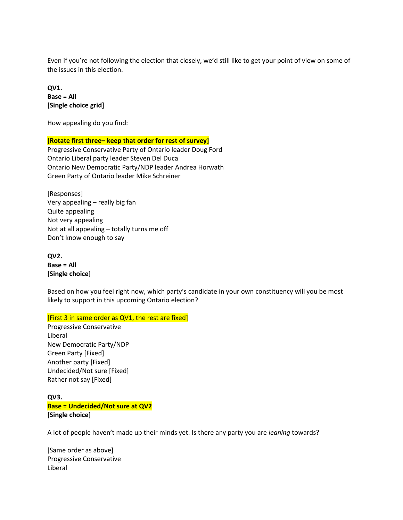Even if you're not following the election that closely, we'd still like to get your point of view on some of the issues in this election.

**QV1. Base = All [Single choice grid]**

How appealing do you find:

### **[Rotate first three– keep that order for rest of survey]**

Progressive Conservative Party of Ontario leader Doug Ford Ontario Liberal party leader Steven Del Duca Ontario New Democratic Party/NDP leader Andrea Horwath Green Party of Ontario leader Mike Schreiner

[Responses] Very appealing – really big fan Quite appealing Not very appealing Not at all appealing – totally turns me off Don't know enough to say

**QV2. Base = All [Single choice]**

Based on how you feel right now, which party's candidate in your own constituency will you be most likely to support in this upcoming Ontario election?

[First 3 in same order as QV1, the rest are fixed]

Progressive Conservative Liberal New Democratic Party/NDP Green Party [Fixed] Another party [Fixed] Undecided/Not sure [Fixed] Rather not say [Fixed]

## **QV3. Base = Undecided/Not sure at QV2 [Single choice]**

A lot of people haven't made up their minds yet. Is there any party you are *leaning* towards?

[Same order as above] Progressive Conservative Liberal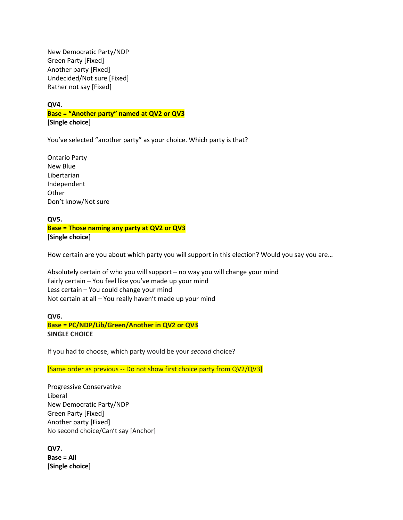New Democratic Party/NDP Green Party [Fixed] Another party [Fixed] Undecided/Not sure [Fixed] Rather not say [Fixed]

**QV4.**

**Base = "Another party" named at QV2 or QV3 [Single choice]**

You've selected "another party" as your choice. Which party is that?

Ontario Party New Blue Libertarian Independent **Other** Don't know/Not sure

**QV5. Base = Those naming any party at QV2 or QV3 [Single choice]**

How certain are you about which party you will support in this election? Would you say you are…

Absolutely certain of who you will support – no way you will change your mind Fairly certain – You feel like you've made up your mind Less certain – You could change your mind Not certain at all – You really haven't made up your mind

## **QV6. Base = PC/NDP/Lib/Green/Another in QV2 or QV3 SINGLE CHOICE**

If you had to choose, which party would be your *second* choice?

[Same order as previous -- Do not show first choice party from QV2/QV3]

Progressive Conservative Liberal New Democratic Party/NDP Green Party [Fixed] Another party [Fixed] No second choice/Can't say [Anchor]

**QV7. Base = All [Single choice]**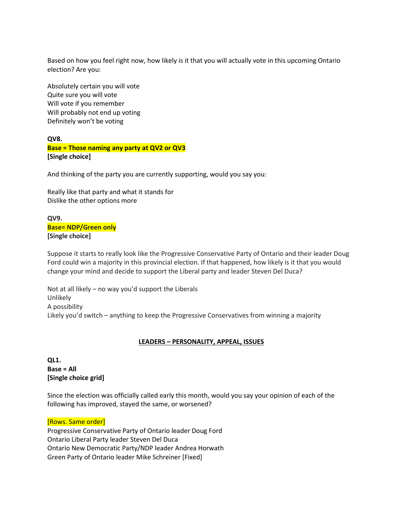Based on how you feel right now, how likely is it that you will actually vote in this upcoming Ontario election? Are you:

Absolutely certain you will vote Quite sure you will vote Will vote if you remember Will probably not end up voting Definitely won't be voting

# **QV8. Base = Those naming any party at QV2 or QV3 [Single choice]**

And thinking of the party you are currently supporting, would you say you:

Really like that party and what it stands for Dislike the other options more

**QV9. Base= NDP/Green only [Single choice]**

Suppose it starts to really look like the Progressive Conservative Party of Ontario and their leader Doug Ford could win a majority in this provincial election. If that happened, how likely is it that you would change your mind and decide to support the Liberal party and leader Steven Del Duca?

Not at all likely – no way you'd support the Liberals Unlikely A possibility Likely you'd switch – anything to keep the Progressive Conservatives from winning a majority

# **LEADERS – PERSONALITY, APPEAL, ISSUES**

## **QL1. Base = All [Single choice grid]**

Since the election was officially called early this month, would you say your opinion of each of the following has improved, stayed the same, or worsened?

# [Rows. Same order]

Progressive Conservative Party of Ontario leader Doug Ford Ontario Liberal Party leader Steven Del Duca Ontario New Democratic Party/NDP leader Andrea Horwath Green Party of Ontario leader Mike Schreiner [Fixed]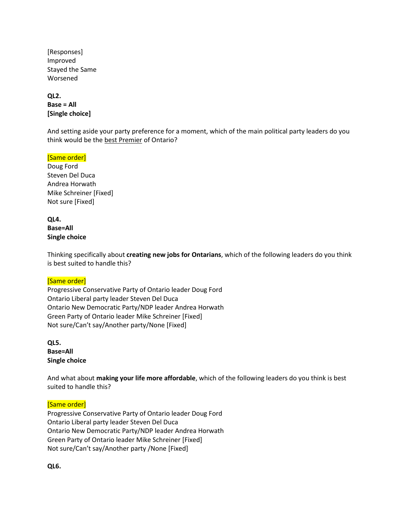[Responses] Improved Stayed the Same Worsened

**QL2. Base = All [Single choice]**

And setting aside your party preference for a moment, which of the main political party leaders do you think would be the best Premier of Ontario?

### [Same order]

Doug Ford Steven Del Duca Andrea Horwath Mike Schreiner [Fixed] Not sure [Fixed]

### **QL4. Base=All Single choice**

Thinking specifically about **creating new jobs for Ontarians**, which of the following leaders do you think is best suited to handle this?

# [Same order]

Progressive Conservative Party of Ontario leader Doug Ford Ontario Liberal party leader Steven Del Duca Ontario New Democratic Party/NDP leader Andrea Horwath Green Party of Ontario leader Mike Schreiner [Fixed] Not sure/Can't say/Another party/None [Fixed]

**QL5. Base=All Single choice**

And what about **making your life more affordable**, which of the following leaders do you think is best suited to handle this?

# [Same order]

Progressive Conservative Party of Ontario leader Doug Ford Ontario Liberal party leader Steven Del Duca Ontario New Democratic Party/NDP leader Andrea Horwath Green Party of Ontario leader Mike Schreiner [Fixed] Not sure/Can't say/Another party /None [Fixed]

**QL6.**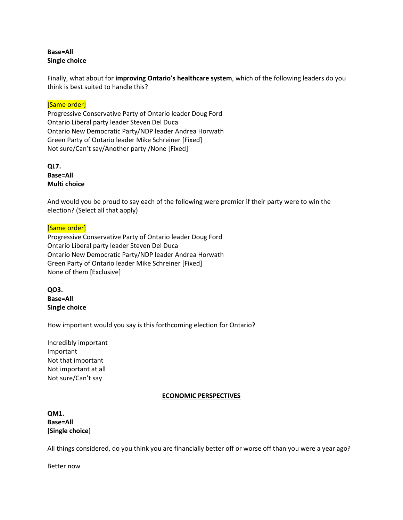## **Base=All Single choice**

Finally, what about for **improving Ontario's healthcare system**, which of the following leaders do you think is best suited to handle this?

### [Same order]

Progressive Conservative Party of Ontario leader Doug Ford Ontario Liberal party leader Steven Del Duca Ontario New Democratic Party/NDP leader Andrea Horwath Green Party of Ontario leader Mike Schreiner [Fixed] Not sure/Can't say/Another party /None [Fixed]

**QL7. Base=All Multi choice**

And would you be proud to say each of the following were premier if their party were to win the election? (Select all that apply)

### [Same order]

Progressive Conservative Party of Ontario leader Doug Ford Ontario Liberal party leader Steven Del Duca Ontario New Democratic Party/NDP leader Andrea Horwath Green Party of Ontario leader Mike Schreiner [Fixed] None of them [Exclusive]

**QO3. Base=All Single choice**

How important would you say is this forthcoming election for Ontario?

Incredibly important Important Not that important Not important at all Not sure/Can't say

### **ECONOMIC PERSPECTIVES**

**QM1. Base=All [Single choice]**

All things considered, do you think you are financially better off or worse off than you were a year ago?

Better now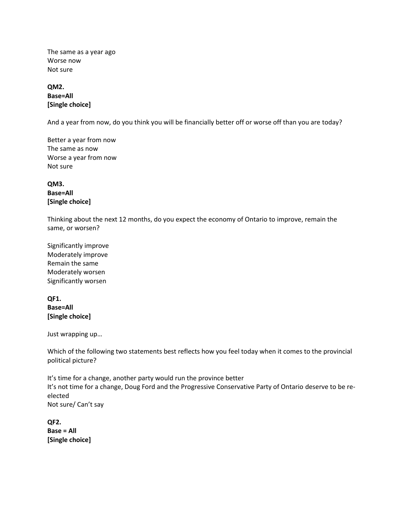The same as a year ago Worse now Not sure

**QM2. Base=All [Single choice]**

And a year from now, do you think you will be financially better off or worse off than you are today?

Better a year from now The same as now Worse a year from now Not sure

**QM3. Base=All [Single choice]**

Thinking about the next 12 months, do you expect the economy of Ontario to improve, remain the same, or worsen?

Significantly improve Moderately improve Remain the same Moderately worsen Significantly worsen

**QF1. Base=All [Single choice]**

Just wrapping up…

Which of the following two statements best reflects how you feel today when it comes to the provincial political picture?

It's time for a change, another party would run the province better It's not time for a change, Doug Ford and the Progressive Conservative Party of Ontario deserve to be reelected Not sure/ Can't say

**QF2. Base = All [Single choice]**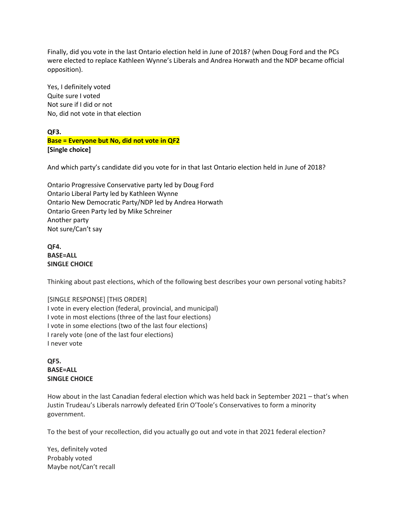Finally, did you vote in the last Ontario election held in June of 2018? (when Doug Ford and the PCs were elected to replace Kathleen Wynne's Liberals and Andrea Horwath and the NDP became official opposition).

Yes, I definitely voted Quite sure I voted Not sure if I did or not No, did not vote in that election

**QF3. Base = Everyone but No, did not vote in QF2 [Single choice]**

And which party's candidate did you vote for in that last Ontario election held in June of 2018?

Ontario Progressive Conservative party led by Doug Ford Ontario Liberal Party led by Kathleen Wynne Ontario New Democratic Party/NDP led by Andrea Horwath Ontario Green Party led by Mike Schreiner Another party Not sure/Can't say

**QF4. BASE=ALL SINGLE CHOICE**

Thinking about past elections, which of the following best describes your own personal voting habits?

# [SINGLE RESPONSE] [THIS ORDER]

I vote in every election (federal, provincial, and municipal) I vote in most elections (three of the last four elections) I vote in some elections (two of the last four elections) I rarely vote (one of the last four elections) I never vote

**QF5. BASE=ALL SINGLE CHOICE**

How about in the last Canadian federal election which was held back in September 2021 – that's when Justin Trudeau's Liberals narrowly defeated Erin O'Toole's Conservatives to form a minority government.

To the best of your recollection, did you actually go out and vote in that 2021 federal election?

Yes, definitely voted Probably voted Maybe not/Can't recall